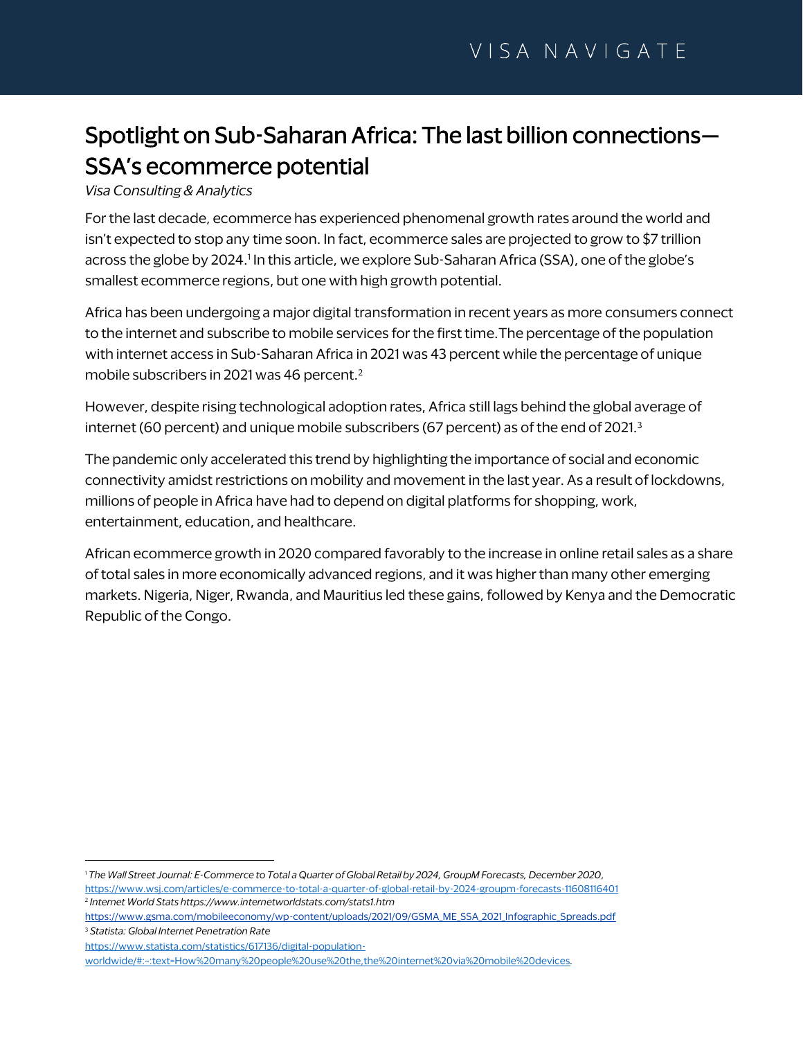# Spotlight on Sub-Saharan Africa: The last billion connections— SSA's ecommerce potential

*Visa Consulting & Analytics*

For the last decade, ecommerce has experienced phenomenal growth rates around the world and isn't expected to stop any time soon. In fact, ecommerce sales are projected to grow to \$7 trillion across the globe by 2024. 1 In this article, we explore Sub-Saharan Africa (SSA), one of the globe's smallest ecommerce regions, but one with high growth potential.

Africa has been undergoing a major digital transformation in recent years as more consumers connect to the internet and subscribe to mobile services for the first time.The percentage of the population with internet access in Sub-Saharan Africa in 2021 was 43 percent while the percentage of unique mobile subscribers in 2021 was 46 percent.<sup>2</sup>

However, despite rising technological adoption rates, Africa still lags behind the global average of internet (60 percent) and unique mobile subscribers (67 percent) as of the end of 2021. 3

The pandemic only accelerated this trend by highlighting the importance of social and economic connectivity amidst restrictions on mobility and movement in the last year. As a result of lockdowns, millions of people in Africa have had to depend on digital platforms for shopping, work, entertainment, education, and healthcare.

African ecommerce growth in 2020 compared favorably to the increase in online retail sales as a share of total sales in more economically advanced regions, and it was higher than many other emerging markets. Nigeria, Niger, Rwanda, and Mauritius led these gains, followed by Kenya and the Democratic Republic of the Congo.

<sup>1</sup> *The Wall Street Journal: E-Commerce to Total a Quarter of Global Retail by 2024, GroupM Forecasts, December 2020,* <https://www.wsj.com/articles/e-commerce-to-total-a-quarter-of-global-retail-by-2024-groupm-forecasts-11608116401> 2 *Internet World Stats https://www.internetworldstats.com/stats1.htm* 

https://www.gsma.com/mobileeconomy/wp-content/uploads/2021/09/GSMA\_ME\_SSA\_2021\_Infographic\_Spreads.pdf <sup>3</sup> *Statista: Global Internet Penetration Rate*

[https://www.statista.com/statistics/617136/digital-population-](https://www.statista.com/statistics/617136/digital-population-worldwide/#:~:text=How%20many%20people%20use%20the,the%20internet%20via%20mobile%20devices)

[worldwide/#:~:text=How%20many%20people%20use%20the,the%20internet%20via%20mobile%20devices](https://www.statista.com/statistics/617136/digital-population-worldwide/#:~:text=How%20many%20people%20use%20the,the%20internet%20via%20mobile%20devices)*.*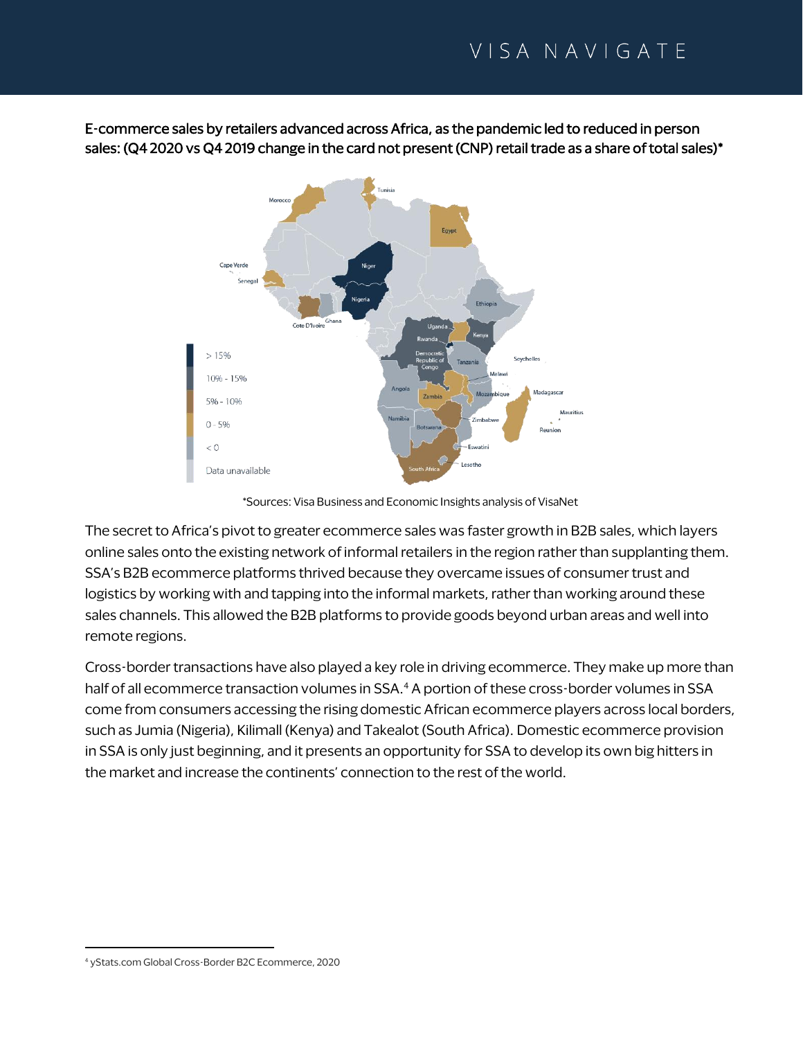E-commerce sales by retailers advanced across Africa, as the pandemic led to reduced in person sales: (Q4 2020 vs Q4 2019 change in the card not present (CNP) retail trade as a share of total sales)\*



\*Sources: Visa Business and Economic Insights analysis of VisaNet

The secret to Africa's pivot to greater ecommerce sales was faster growth in B2B sales, which layers online sales onto the existing network of informal retailers in the region rather than supplanting them. SSA's B2B ecommerce platforms thrived because they overcame issues of consumer trust and logistics by working with and tapping into the informal markets, rather than working around these sales channels. This allowed the B2B platforms to provide goods beyond urban areas and well into remote regions.

Cross-border transactions have also played a key role in driving ecommerce. They make up more than half of all ecommerce transaction volumes in SSA. <sup>4</sup> A portion of these cross-border volumes in SSA come from consumers accessing the rising domestic African ecommerce players across local borders, such as Jumia (Nigeria), Kilimall (Kenya) and Takealot (South Africa). Domestic ecommerce provision in SSA is only just beginning, and it presents an opportunity for SSA to develop its own big hitters in the market and increase the continents' connection to the rest of the world.

<sup>4</sup> yStats.com Global Cross-Border B2C Ecommerce, 2020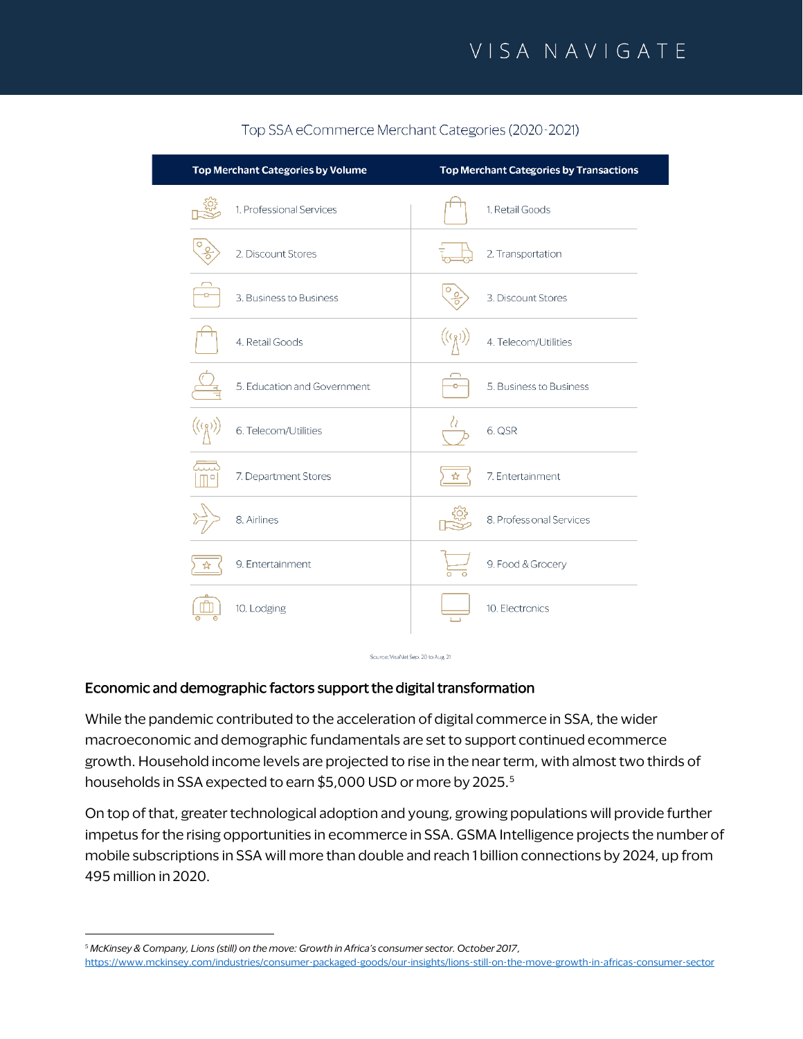| Top Merchant Categories by Volume          | <b>Top Merchant Categories by Transactions</b> |
|--------------------------------------------|------------------------------------------------|
| 1. Professional Services                   | 1. Retail Goods                                |
| $\frac{1}{\sqrt{2}}$<br>2. Discount Stores | 2. Transportation                              |
| 3. Business to Business                    | O<br>$\frac{0}{0}$<br>3. Discount Stores       |
| 4. Retail Goods                            | 4. Telecom/Utilities                           |
| 5. Education and Government                | 5. Business to Business                        |
| $(\varrho)$<br>6. Telecom/Utilities        | lθ<br>6. QSR                                   |
| 7. Department Stores                       | 7. Entertainment<br>ম                          |
| 8. Airlines                                | 8. Professional Services                       |
| 9. Entertainment                           | 9. Food & Grocery                              |
| 10. Lodging                                | 10. Electronics                                |
|                                            |                                                |

### Top SSA eCommerce Merchant Categories (2020-2021)

### Economic and demographic factors support the digital transformation

While the pandemic contributed to the acceleration of digital commerce in SSA, the wider macroeconomic and demographic fundamentals are set to support continued ecommerce growth. Household income levels are projected to rise in the near term, with almost two thirds of households in SSA expected to earn \$5,000 USD or more by 2025.<sup>5</sup>

Source: VisaNet Sep. 20 to Aug. 21

On top of that, greater technological adoption and young, growing populations will provide further impetus for the rising opportunities in ecommerce in SSA. GSMA Intelligence projects the number of mobile subscriptions in SSA will more than double and reach 1 billion connections by 2024, up from 495 million in 2020.

<sup>5</sup> *McKinsey & Company, Lions (still) on the move: Growth in Africa's consumer sector. October 2017,* <https://www.mckinsey.com/industries/consumer-packaged-goods/our-insights/lions-still-on-the-move-growth-in-africas-consumer-sector>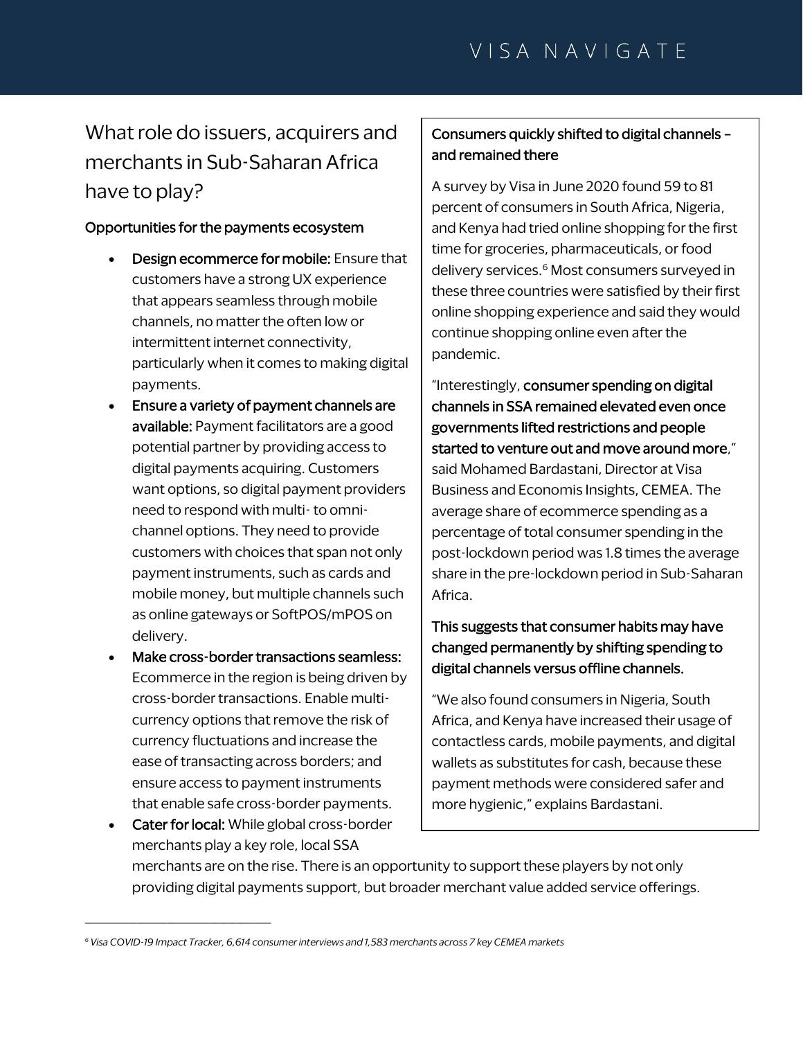# What role do issuers, acquirers and merchants in Sub-Saharan Africa have to play?

#### Opportunities for the payments ecosystem

- Design ecommerce for mobile: Ensure that customers have a strong UX experience that appears seamless through mobile channels, no matter the often low or intermittent internet connectivity, particularly when it comes to making digital payments.
- Ensure a variety of payment channels are available: Payment facilitators are a good potential partner by providing access to digital payments acquiring. Customers want options, so digital payment providers need to respond with multi- to omnichannel options. They need to provide customers with choices that span not only payment instruments, such as cards and mobile money, but multiple channels such as online gateways or SoftPOS/mPOS on delivery.
- Make cross-border transactions seamless: Ecommerce in the region is being driven by cross-border transactions. Enable multicurrency options that remove the risk of currency fluctuations and increase the ease of transacting across borders; and ensure access to payment instruments that enable safe cross-border payments. • Cater for local: While global cross-border

\_\_\_\_\_\_\_\_\_\_\_\_\_\_\_\_\_\_\_\_\_\_\_\_\_\_\_\_\_\_\_\_\_\_\_\_\_\_\_\_\_\_\_

### Consumers quickly shifted to digital channels – and remained there

A survey by Visa in June 2020 found 59 to 81 percent of consumers in South Africa, Nigeria, and Kenya had tried online shopping for the first time for groceries, pharmaceuticals, or food delivery services.<sup>6</sup> Most consumers surveyed in these three countries were satisfied by their first online shopping experience and said they would continue shopping online even after the pandemic.

"Interestingly, consumer spending on digital channels in SSA remained elevated even once governments lifted restrictions and people started to venture out and move around more," said Mohamed Bardastani, Director at Visa Business and Economis Insights, CEMEA. The average share of ecommerce spending as a percentage of total consumer spending in the post-lockdown period was 1.8 times the average share in the pre-lockdown period in Sub-Saharan Africa.

## This suggests that consumer habits may have changed permanently by shifting spending to digital channels versus offline channels.

"We also found consumers in Nigeria, South Africa, and Kenya have increased their usage of contactless cards, mobile payments, and digital wallets as substitutes for cash, because these payment methods were considered safer and more hygienic," explains Bardastani.

merchants play a key role, local SSA merchants are on the rise. There is an opportunity to support these players by not only providing digital payments support, but broader merchant value added service offerings.

*<sup>6</sup> Visa COVID-19 Impact Tracker, 6,614 consumer interviews and 1,583 merchants across 7 key CEMEA markets*